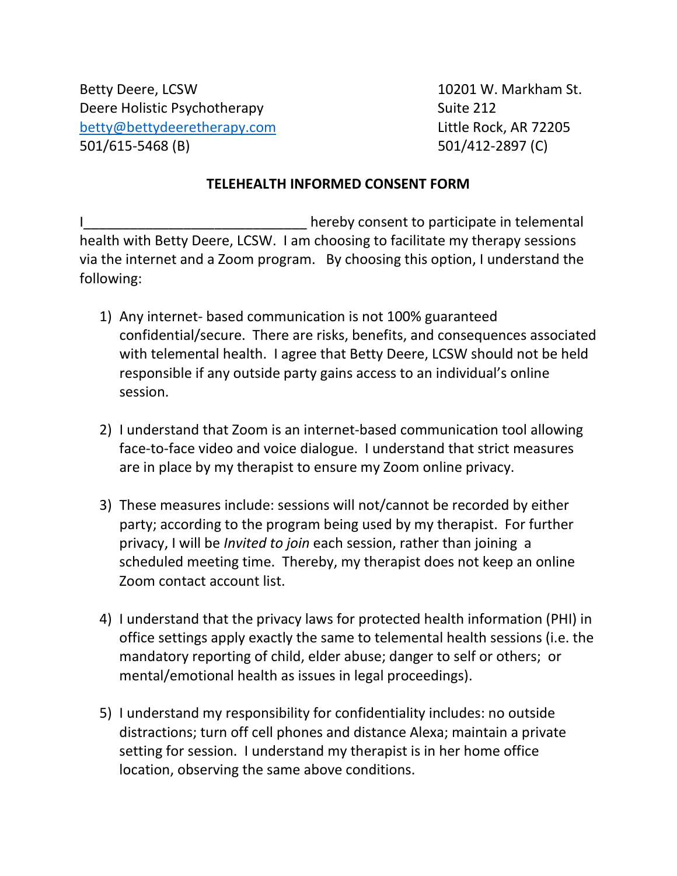Betty Deere, LCSW 10201 W. Markham St. Deere Holistic Psychotherapy **Suite 212** [betty@bettydeeretherapy.com](mailto:betty@bettydeeretherapy.com) Little Rock, AR 72205 501/615-5468 (B) 501/412-2897 (C)

## **TELEHEALTH INFORMED CONSENT FORM**

hereby consent to participate in telemental health with Betty Deere, LCSW. I am choosing to facilitate my therapy sessions via the internet and a Zoom program. By choosing this option, I understand the following:

- 1) Any internet- based communication is not 100% guaranteed confidential/secure. There are risks, benefits, and consequences associated with telemental health. I agree that Betty Deere, LCSW should not be held responsible if any outside party gains access to an individual's online session.
- 2) I understand that Zoom is an internet-based communication tool allowing face-to-face video and voice dialogue. I understand that strict measures are in place by my therapist to ensure my Zoom online privacy.
- 3) These measures include: sessions will not/cannot be recorded by either party; according to the program being used by my therapist. For further privacy, I will be *Invited to join* each session, rather than joining a scheduled meeting time. Thereby, my therapist does not keep an online Zoom contact account list.
- 4) I understand that the privacy laws for protected health information (PHI) in office settings apply exactly the same to telemental health sessions (i.e. the mandatory reporting of child, elder abuse; danger to self or others; or mental/emotional health as issues in legal proceedings).
- 5) I understand my responsibility for confidentiality includes: no outside distractions; turn off cell phones and distance Alexa; maintain a private setting for session. I understand my therapist is in her home office location, observing the same above conditions.